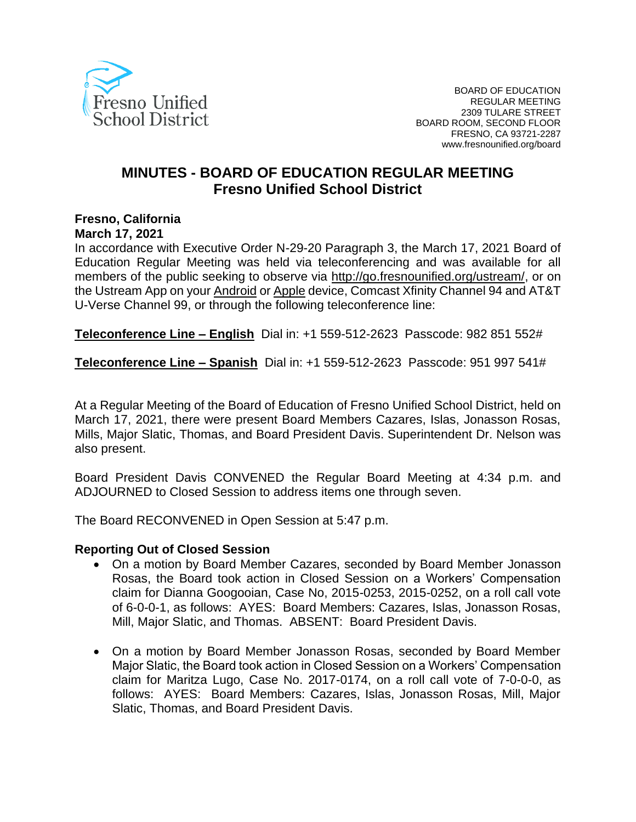

# **MINUTES - BOARD OF EDUCATION REGULAR MEETING Fresno Unified School District**

## **Fresno, California**

#### **March 17, 2021**

In accordance with Executive Order N-29-20 Paragraph 3, the March 17, 2021 Board of Education Regular Meeting was held via teleconferencing and was available for all members of the public seeking to observe via [http://go.fresnounified.org/ustream/,](http://go.fresnounified.org/ustream/) or on the Ustream App on your [Android](https://play.google.com/store/apps/details?id=tv.ustream.ustream&hl=en_US) or [Apple](https://itunes.apple.com/us/app/ustream/id301520250?mt=8) device, Comcast Xfinity Channel 94 and AT&T U-Verse Channel 99, or through the following teleconference line:

**Teleconference Line – English** Dial in: +1 559-512-2623 Passcode: 982 851 552#

**Teleconference Line – Spanish** Dial in: +1 559-512-2623 Passcode: 951 997 541#

At a Regular Meeting of the Board of Education of Fresno Unified School District, held on March 17, 2021, there were present Board Members Cazares, Islas, Jonasson Rosas, Mills, Major Slatic, Thomas, and Board President Davis. Superintendent Dr. Nelson was also present.

Board President Davis CONVENED the Regular Board Meeting at 4:34 p.m. and ADJOURNED to Closed Session to address items one through seven.

The Board RECONVENED in Open Session at 5:47 p.m.

#### **Reporting Out of Closed Session**

- On a motion by Board Member Cazares, seconded by Board Member Jonasson Rosas, the Board took action in Closed Session on a Workers' Compensation claim for Dianna Googooian, Case No, 2015-0253, 2015-0252, on a roll call vote of 6-0-0-1, as follows: AYES: Board Members: Cazares, Islas, Jonasson Rosas, Mill, Major Slatic, and Thomas. ABSENT: Board President Davis.
- On a motion by Board Member Jonasson Rosas, seconded by Board Member Major Slatic, the Board took action in Closed Session on a Workers' Compensation claim for Maritza Lugo, Case No. 2017-0174, on a roll call vote of 7-0-0-0, as follows: AYES: Board Members: Cazares, Islas, Jonasson Rosas, Mill, Major Slatic, Thomas, and Board President Davis.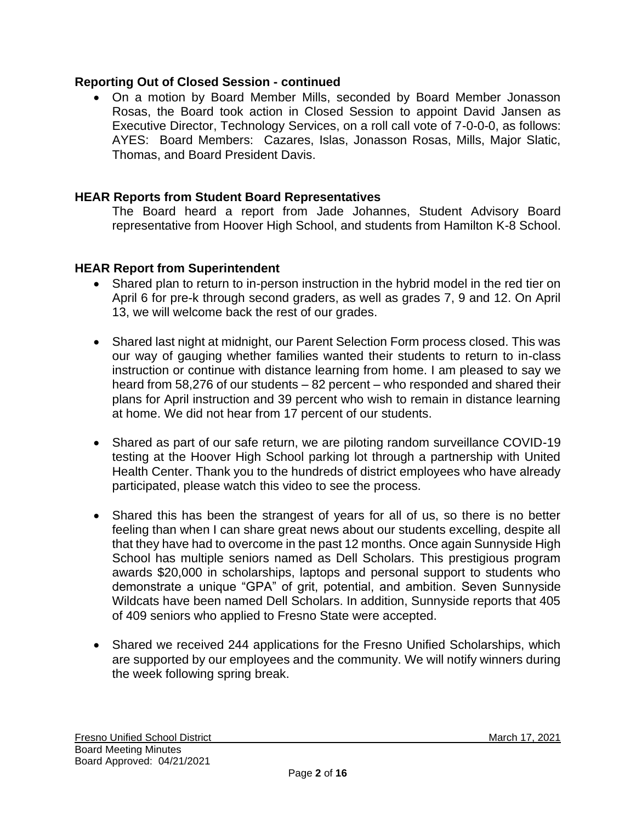## **Reporting Out of Closed Session - continued**

• On a motion by Board Member Mills, seconded by Board Member Jonasson Rosas, the Board took action in Closed Session to appoint David Jansen as Executive Director, Technology Services, on a roll call vote of 7-0-0-0, as follows: AYES: Board Members: Cazares, Islas, Jonasson Rosas, Mills, Major Slatic, Thomas, and Board President Davis.

## **HEAR Reports from Student Board Representatives**

The Board heard a report from Jade Johannes, Student Advisory Board representative from Hoover High School, and students from Hamilton K-8 School.

## **HEAR Report from Superintendent**

- Shared plan to return to in-person instruction in the hybrid model in the red tier on April 6 for pre-k through second graders, as well as grades 7, 9 and 12. On April 13, we will welcome back the rest of our grades.
- Shared last night at midnight, our Parent Selection Form process closed. This was our way of gauging whether families wanted their students to return to in-class instruction or continue with distance learning from home. I am pleased to say we heard from 58,276 of our students – 82 percent – who responded and shared their plans for April instruction and 39 percent who wish to remain in distance learning at home. We did not hear from 17 percent of our students.
- Shared as part of our safe return, we are piloting random surveillance COVID-19 testing at the Hoover High School parking lot through a partnership with United Health Center. Thank you to the hundreds of district employees who have already participated, please watch this video to see the process.
- Shared this has been the strangest of years for all of us, so there is no better feeling than when I can share great news about our students excelling, despite all that they have had to overcome in the past 12 months. Once again Sunnyside High School has multiple seniors named as Dell Scholars. This prestigious program awards \$20,000 in scholarships, laptops and personal support to students who demonstrate a unique "GPA" of grit, potential, and ambition. Seven Sunnyside Wildcats have been named Dell Scholars. In addition, Sunnyside reports that 405 of 409 seniors who applied to Fresno State were accepted.
- Shared we received 244 applications for the Fresno Unified Scholarships, which are supported by our employees and the community. We will notify winners during the week following spring break.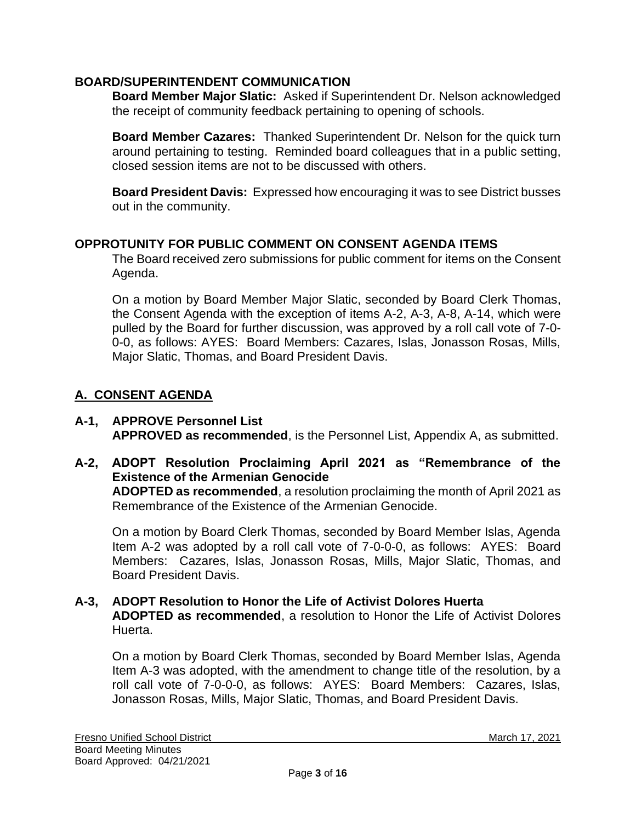## **BOARD/SUPERINTENDENT COMMUNICATION**

**Board Member Major Slatic:** Asked if Superintendent Dr. Nelson acknowledged the receipt of community feedback pertaining to opening of schools.

**Board Member Cazares:** Thanked Superintendent Dr. Nelson for the quick turn around pertaining to testing. Reminded board colleagues that in a public setting, closed session items are not to be discussed with others.

**Board President Davis:** Expressed how encouraging it was to see District busses out in the community.

#### **OPPROTUNITY FOR PUBLIC COMMENT ON CONSENT AGENDA ITEMS**

The Board received zero submissions for public comment for items on the Consent Agenda.

On a motion by Board Member Major Slatic, seconded by Board Clerk Thomas, the Consent Agenda with the exception of items A-2, A-3, A-8, A-14, which were pulled by the Board for further discussion, was approved by a roll call vote of 7-0- 0-0, as follows: AYES: Board Members: Cazares, Islas, Jonasson Rosas, Mills, Major Slatic, Thomas, and Board President Davis.

# **A. CONSENT AGENDA**

- **A-1, APPROVE Personnel List APPROVED as recommended**, is the Personnel List, Appendix A, as submitted.
- **A-2, ADOPT Resolution Proclaiming April 2021 as "Remembrance of the Existence of the Armenian Genocide ADOPTED as recommended**, a resolution proclaiming the month of April 2021 as

Remembrance of the Existence of the Armenian Genocide.

On a motion by Board Clerk Thomas, seconded by Board Member Islas, Agenda Item A-2 was adopted by a roll call vote of 7-0-0-0, as follows: AYES: Board Members: Cazares, Islas, Jonasson Rosas, Mills, Major Slatic, Thomas, and Board President Davis.

## **A-3, ADOPT Resolution to Honor the Life of Activist Dolores Huerta ADOPTED as recommended**, a resolution to Honor the Life of Activist Dolores Huerta.

On a motion by Board Clerk Thomas, seconded by Board Member Islas, Agenda Item A-3 was adopted, with the amendment to change title of the resolution, by a roll call vote of 7-0-0-0, as follows: AYES: Board Members: Cazares, Islas, Jonasson Rosas, Mills, Major Slatic, Thomas, and Board President Davis.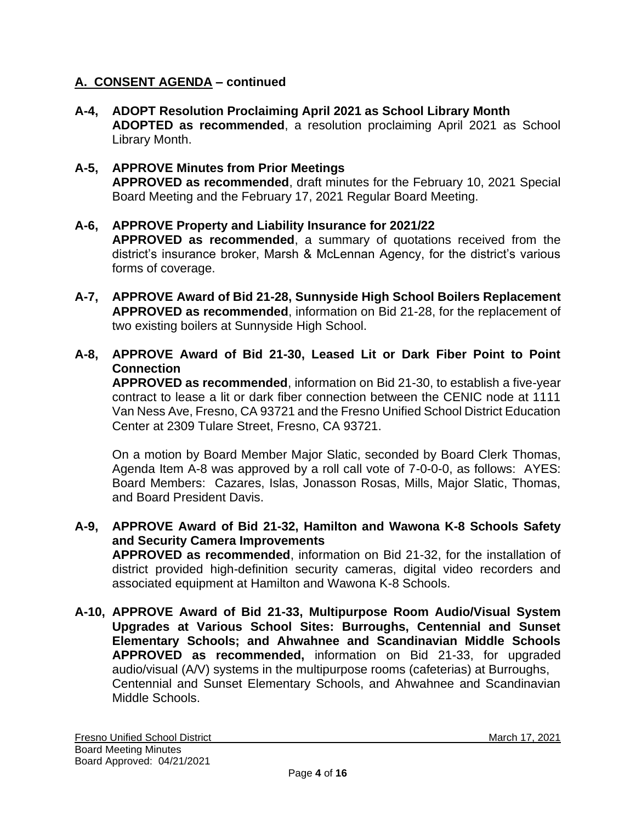# **A. CONSENT AGENDA – continued**

- **A-4, ADOPT Resolution Proclaiming April 2021 as School Library Month ADOPTED as recommended**, a resolution proclaiming April 2021 as School Library Month.
- **A-5, APPROVE Minutes from Prior Meetings APPROVED as recommended**, draft minutes for the February 10, 2021 Special Board Meeting and the February 17, 2021 Regular Board Meeting.

# **A-6, APPROVE Property and Liability Insurance for 2021/22**

**APPROVED as recommended**, a summary of quotations received from the district's insurance broker, Marsh & McLennan Agency, for the district's various forms of coverage.

- **A-7, APPROVE Award of Bid 21-28, Sunnyside High School Boilers Replacement APPROVED as recommended**, information on Bid 21-28, for the replacement of two existing boilers at Sunnyside High School.
- **A-8, APPROVE Award of Bid 21-30, Leased Lit or Dark Fiber Point to Point Connection**

**APPROVED as recommended**, information on Bid 21-30, to establish a five-year contract to lease a lit or dark fiber connection between the CENIC node at 1111 Van Ness Ave, Fresno, CA 93721 and the Fresno Unified School District Education Center at 2309 Tulare Street, Fresno, CA 93721.

On a motion by Board Member Major Slatic, seconded by Board Clerk Thomas, Agenda Item A-8 was approved by a roll call vote of 7-0-0-0, as follows: AYES: Board Members: Cazares, Islas, Jonasson Rosas, Mills, Major Slatic, Thomas, and Board President Davis.

- **A-9, APPROVE Award of Bid 21-32, Hamilton and Wawona K-8 Schools Safety and Security Camera Improvements APPROVED as recommended**, information on Bid 21-32, for the installation of district provided high-definition security cameras, digital video recorders and associated equipment at Hamilton and Wawona K-8 Schools.
- **A-10, APPROVE Award of Bid 21-33, Multipurpose Room Audio/Visual System Upgrades at Various School Sites: Burroughs, Centennial and Sunset Elementary Schools; and Ahwahnee and Scandinavian Middle Schools APPROVED as recommended,** information on Bid 21-33, for upgraded audio/visual (A/V) systems in the multipurpose rooms (cafeterias) at Burroughs, Centennial and Sunset Elementary Schools, and Ahwahnee and Scandinavian Middle Schools.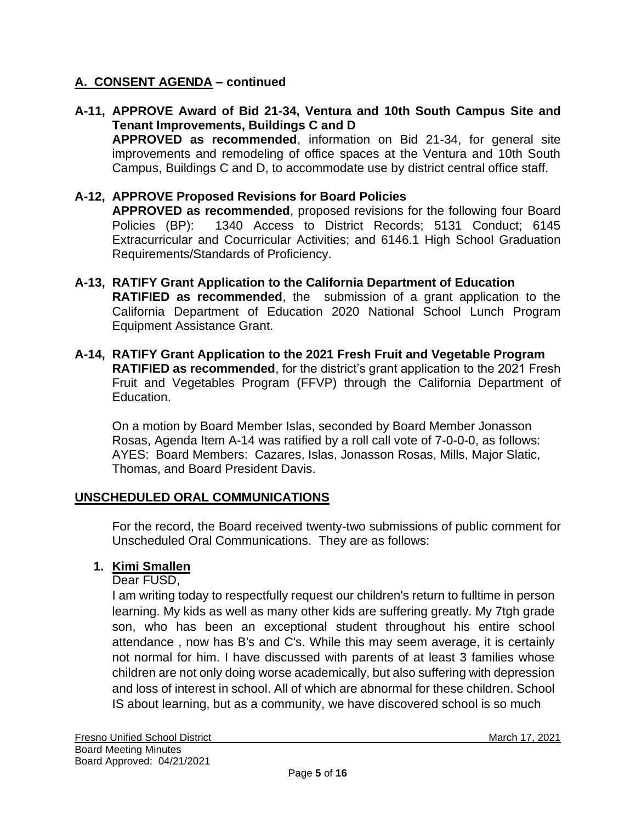# **A. CONSENT AGENDA – continued**

**A-11, APPROVE Award of Bid 21-34, Ventura and 10th South Campus Site and Tenant Improvements, Buildings C and D APPROVED as recommended**, information on Bid 21-34, for general site improvements and remodeling of office spaces at the Ventura and 10th South Campus, Buildings C and D, to accommodate use by district central office staff.

## **A-12, APPROVE Proposed Revisions for Board Policies**

**APPROVED as recommended**, proposed revisions for the following four Board Policies (BP): 1340 Access to District Records; 5131 Conduct; 6145 Extracurricular and Cocurricular Activities; and 6146.1 High School Graduation Requirements/Standards of Proficiency.

- **A-13, RATIFY Grant Application to the California Department of Education RATIFIED as recommended**, the submission of a grant application to the California Department of Education 2020 National School Lunch Program Equipment Assistance Grant.
- **A-14, RATIFY Grant Application to the 2021 Fresh Fruit and Vegetable Program RATIFIED as recommended**, for the district's grant application to the 2021 Fresh Fruit and Vegetables Program (FFVP) through the California Department of Education.

On a motion by Board Member Islas, seconded by Board Member Jonasson Rosas, Agenda Item A-14 was ratified by a roll call vote of 7-0-0-0, as follows: AYES: Board Members: Cazares, Islas, Jonasson Rosas, Mills, Major Slatic, Thomas, and Board President Davis.

#### **UNSCHEDULED ORAL COMMUNICATIONS**

For the record, the Board received twenty-two submissions of public comment for Unscheduled Oral Communications. They are as follows:

# **1. Kimi Smallen**

Dear FUSD,

I am writing today to respectfully request our children's return to fulltime in person learning. My kids as well as many other kids are suffering greatly. My 7tgh grade son, who has been an exceptional student throughout his entire school attendance , now has B's and C's. While this may seem average, it is certainly not normal for him. I have discussed with parents of at least 3 families whose children are not only doing worse academically, but also suffering with depression and loss of interest in school. All of which are abnormal for these children. School IS about learning, but as a community, we have discovered school is so much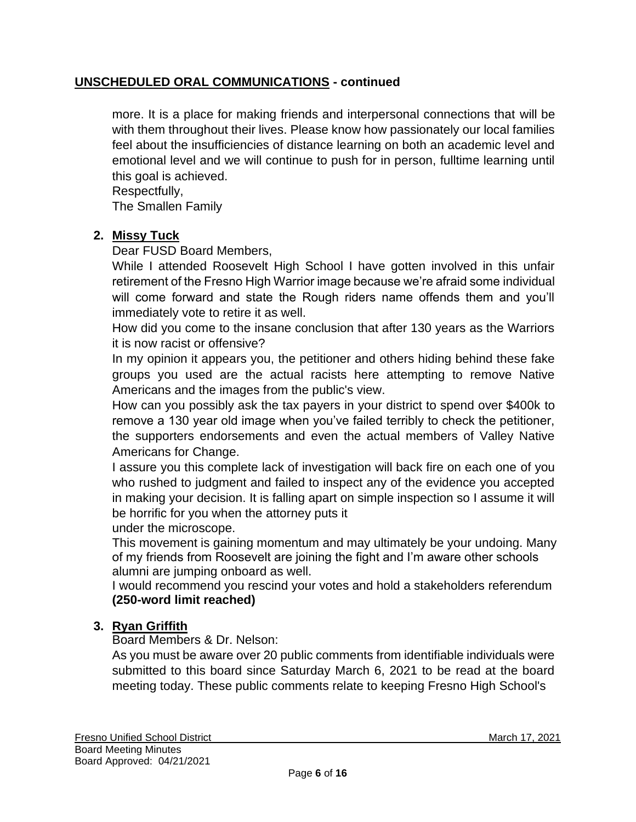more. It is a place for making friends and interpersonal connections that will be with them throughout their lives. Please know how passionately our local families feel about the insufficiencies of distance learning on both an academic level and emotional level and we will continue to push for in person, fulltime learning until this goal is achieved.

Respectfully,

The Smallen Family

# **2. Missy Tuck**

Dear FUSD Board Members,

While I attended Roosevelt High School I have gotten involved in this unfair retirement of the Fresno High Warrior image because we're afraid some individual will come forward and state the Rough riders name offends them and you'll immediately vote to retire it as well.

How did you come to the insane conclusion that after 130 years as the Warriors it is now racist or offensive?

In my opinion it appears you, the petitioner and others hiding behind these fake groups you used are the actual racists here attempting to remove Native Americans and the images from the public's view.

How can you possibly ask the tax payers in your district to spend over \$400k to remove a 130 year old image when you've failed terribly to check the petitioner, the supporters endorsements and even the actual members of Valley Native Americans for Change.

I assure you this complete lack of investigation will back fire on each one of you who rushed to judgment and failed to inspect any of the evidence you accepted in making your decision. It is falling apart on simple inspection so I assume it will be horrific for you when the attorney puts it

under the microscope.

This movement is gaining momentum and may ultimately be your undoing. Many of my friends from Roosevelt are joining the fight and I'm aware other schools alumni are jumping onboard as well.

I would recommend you rescind your votes and hold a stakeholders referendum **(250-word limit reached)**

# **3. Ryan Griffith**

Board Members & Dr. Nelson:

As you must be aware over 20 public comments from identifiable individuals were submitted to this board since Saturday March 6, 2021 to be read at the board meeting today. These public comments relate to keeping Fresno High School's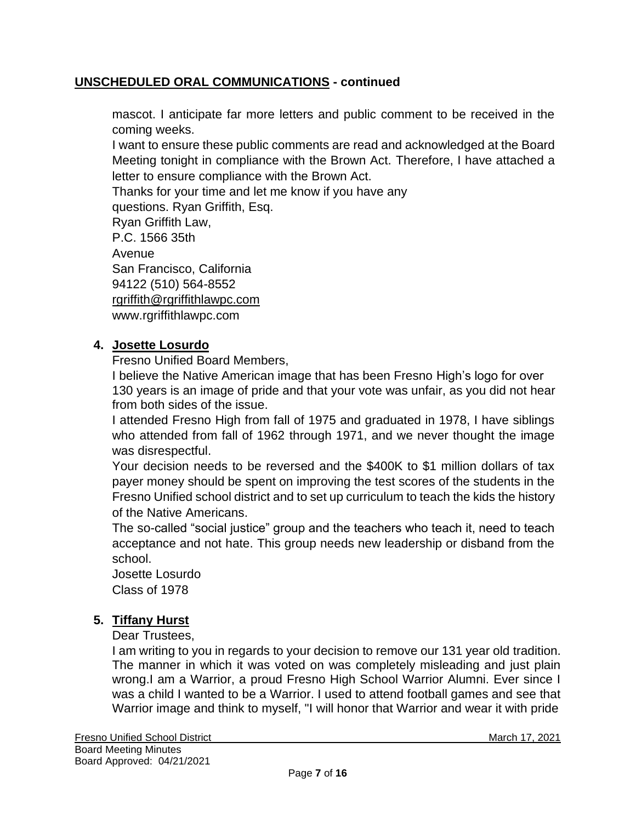mascot. I anticipate far more letters and public comment to be received in the coming weeks.

I want to ensure these public comments are read and acknowledged at the Board Meeting tonight in compliance with the Brown Act. Therefore, I have attached a letter to ensure compliance with the Brown Act.

Thanks for your time and let me know if you have any

questions. Ryan Griffith, Esq.

Ryan Griffith Law,

P.C. 1566 35th

Avenue

San Francisco, California

94122 (510) 564-8552

[rgriffith@rgriffithlawpc.com](mailto:rgriffith@rgriffithlawpc.com)

[www.rgriffithlawpc.com](http://www.rgriffithlawpc.com/)

# **4. Josette Losurdo**

Fresno Unified Board Members,

I believe the Native American image that has been Fresno High's logo for over 130 years is an image of pride and that your vote was unfair, as you did not hear from both sides of the issue.

I attended Fresno High from fall of 1975 and graduated in 1978, I have siblings who attended from fall of 1962 through 1971, and we never thought the image was disrespectful.

Your decision needs to be reversed and the \$400K to \$1 million dollars of tax payer money should be spent on improving the test scores of the students in the Fresno Unified school district and to set up curriculum to teach the kids the history of the Native Americans.

The so-called "social justice" group and the teachers who teach it, need to teach acceptance and not hate. This group needs new leadership or disband from the school.

Josette Losurdo Class of 1978

# **5. Tiffany Hurst**

Dear Trustees,

I am writing to you in regards to your decision to remove our 131 year old tradition. The manner in which it was voted on was completely misleading and just plain wrong.I am a Warrior, a proud Fresno High School Warrior Alumni. Ever since I was a child I wanted to be a Warrior. I used to attend football games and see that Warrior image and think to myself, "I will honor that Warrior and wear it with pride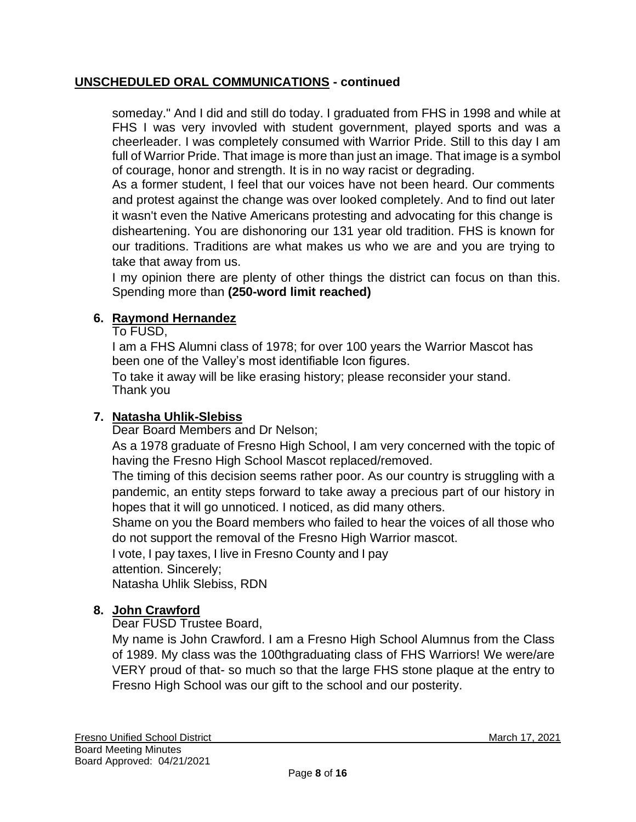someday." And I did and still do today. I graduated from FHS in 1998 and while at FHS I was very invovled with student government, played sports and was a cheerleader. I was completely consumed with Warrior Pride. Still to this day I am full of Warrior Pride. That image is more than just an image. That image is a symbol of courage, honor and strength. It is in no way racist or degrading.

As a former student, I feel that our voices have not been heard. Our comments and protest against the change was over looked completely. And to find out later it wasn't even the Native Americans protesting and advocating for this change is disheartening. You are dishonoring our 131 year old tradition. FHS is known for our traditions. Traditions are what makes us who we are and you are trying to take that away from us.

I my opinion there are plenty of other things the district can focus on than this. Spending more than **(250-word limit reached)**

# **6. Raymond Hernandez**

To FUSD,

I am a FHS Alumni class of 1978; for over 100 years the Warrior Mascot has been one of the Valley's most identifiable Icon figures.

To take it away will be like erasing history; please reconsider your stand. Thank you

# **7. Natasha Uhlik-Slebiss**

Dear Board Members and Dr Nelson;

As a 1978 graduate of Fresno High School, I am very concerned with the topic of having the Fresno High School Mascot replaced/removed.

The timing of this decision seems rather poor. As our country is struggling with a pandemic, an entity steps forward to take away a precious part of our history in hopes that it will go unnoticed. I noticed, as did many others.

Shame on you the Board members who failed to hear the voices of all those who do not support the removal of the Fresno High Warrior mascot.

I vote, I pay taxes, I live in Fresno County and I pay

attention. Sincerely;

Natasha Uhlik Slebiss, RDN

# **8. John Crawford**

Dear FUSD Trustee Board,

My name is John Crawford. I am a Fresno High School Alumnus from the Class of 1989. My class was the 100thgraduating class of FHS Warriors! We were/are VERY proud of that- so much so that the large FHS stone plaque at the entry to Fresno High School was our gift to the school and our posterity.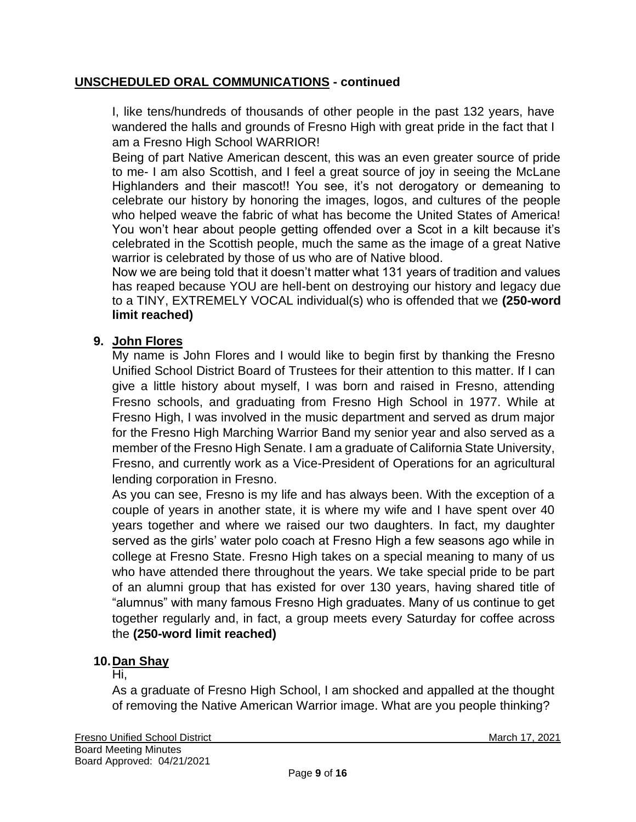I, like tens/hundreds of thousands of other people in the past 132 years, have wandered the halls and grounds of Fresno High with great pride in the fact that I am a Fresno High School WARRIOR!

Being of part Native American descent, this was an even greater source of pride to me- I am also Scottish, and I feel a great source of joy in seeing the McLane Highlanders and their mascot!! You see, it's not derogatory or demeaning to celebrate our history by honoring the images, logos, and cultures of the people who helped weave the fabric of what has become the United States of America! You won't hear about people getting offended over a Scot in a kilt because it's celebrated in the Scottish people, much the same as the image of a great Native warrior is celebrated by those of us who are of Native blood.

Now we are being told that it doesn't matter what 131 years of tradition and values has reaped because YOU are hell-bent on destroying our history and legacy due to a TINY, EXTREMELY VOCAL individual(s) who is offended that we **(250-word limit reached)**

# **9. John Flores**

My name is John Flores and I would like to begin first by thanking the Fresno Unified School District Board of Trustees for their attention to this matter. If I can give a little history about myself, I was born and raised in Fresno, attending Fresno schools, and graduating from Fresno High School in 1977. While at Fresno High, I was involved in the music department and served as drum major for the Fresno High Marching Warrior Band my senior year and also served as a member of the Fresno High Senate. I am a graduate of California State University, Fresno, and currently work as a Vice-President of Operations for an agricultural lending corporation in Fresno.

As you can see, Fresno is my life and has always been. With the exception of a couple of years in another state, it is where my wife and I have spent over 40 years together and where we raised our two daughters. In fact, my daughter served as the girls' water polo coach at Fresno High a few seasons ago while in college at Fresno State. Fresno High takes on a special meaning to many of us who have attended there throughout the years. We take special pride to be part of an alumni group that has existed for over 130 years, having shared title of "alumnus" with many famous Fresno High graduates. Many of us continue to get together regularly and, in fact, a group meets every Saturday for coffee across the **(250-word limit reached)**

# **10.Dan Shay**

#### Hi,

As a graduate of Fresno High School, I am shocked and appalled at the thought of removing the Native American Warrior image. What are you people thinking?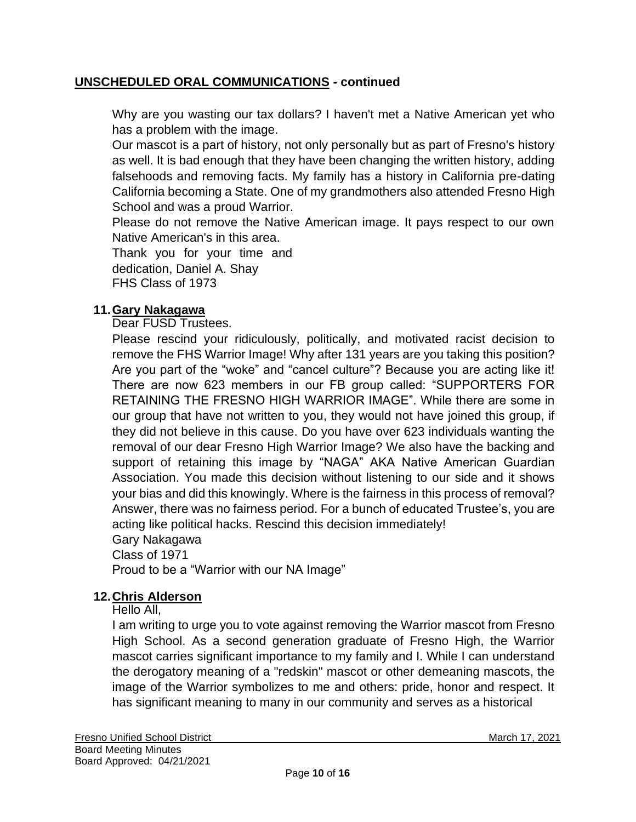Why are you wasting our tax dollars? I haven't met a Native American yet who has a problem with the image.

Our mascot is a part of history, not only personally but as part of Fresno's history as well. It is bad enough that they have been changing the written history, adding falsehoods and removing facts. My family has a history in California pre-dating California becoming a State. One of my grandmothers also attended Fresno High School and was a proud Warrior.

Please do not remove the Native American image. It pays respect to our own Native American's in this area.

Thank you for your time and dedication, Daniel A. Shay FHS Class of 1973

# **11.Gary Nakagawa**

Dear FUSD Trustees.

Please rescind your ridiculously, politically, and motivated racist decision to remove the FHS Warrior Image! Why after 131 years are you taking this position? Are you part of the "woke" and "cancel culture"? Because you are acting like it! There are now 623 members in our FB group called: "SUPPORTERS FOR RETAINING THE FRESNO HIGH WARRIOR IMAGE". While there are some in our group that have not written to you, they would not have joined this group, if they did not believe in this cause. Do you have over 623 individuals wanting the removal of our dear Fresno High Warrior Image? We also have the backing and support of retaining this image by "NAGA" AKA Native American Guardian Association. You made this decision without listening to our side and it shows your bias and did this knowingly. Where is the fairness in this process of removal? Answer, there was no fairness period. For a bunch of educated Trustee's, you are acting like political hacks. Rescind this decision immediately!

Gary Nakagawa

Class of 1971

Proud to be a "Warrior with our NA Image"

# **12.Chris Alderson**

Hello All,

I am writing to urge you to vote against removing the Warrior mascot from Fresno High School. As a second generation graduate of Fresno High, the Warrior mascot carries significant importance to my family and I. While I can understand the derogatory meaning of a "redskin" mascot or other demeaning mascots, the image of the Warrior symbolizes to me and others: pride, honor and respect. It has significant meaning to many in our community and serves as a historical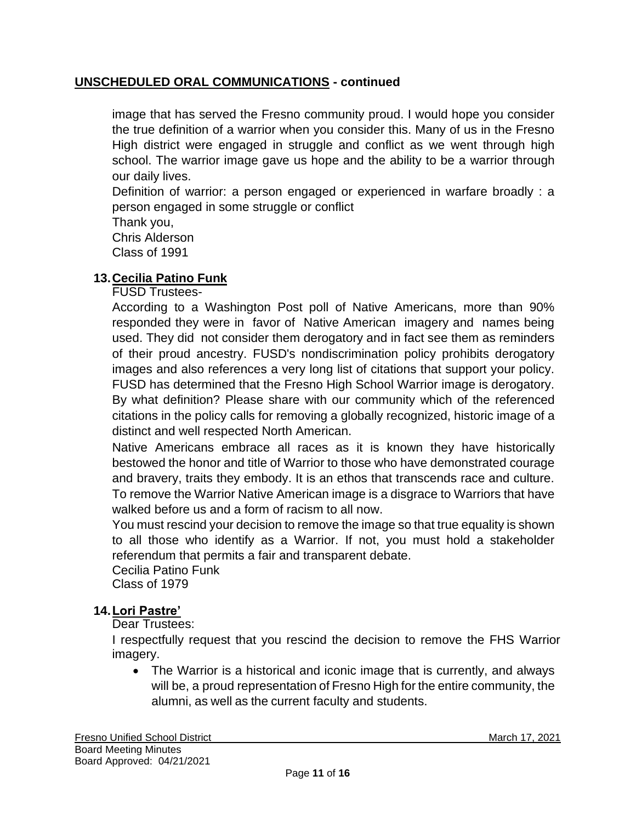image that has served the Fresno community proud. I would hope you consider the true definition of a warrior when you consider this. Many of us in the Fresno High district were engaged in struggle and conflict as we went through high school. The warrior image gave us hope and the ability to be a warrior through our daily lives.

Definition of warrior: a person engaged or experienced in warfare broadly : a person engaged in some struggle or conflict

Thank you, Chris Alderson

Class of 1991

# **13.Cecilia Patino Funk**

FUSD Trustees-

According to a Washington Post poll of Native Americans, more than 90% responded they were in favor of Native American imagery and names being used. They did not consider them derogatory and in fact see them as reminders of their proud ancestry. FUSD's nondiscrimination policy prohibits derogatory images and also references a very long list of citations that support your policy. FUSD has determined that the Fresno High School Warrior image is derogatory. By what definition? Please share with our community which of the referenced citations in the policy calls for removing a globally recognized, historic image of a distinct and well respected North American.

Native Americans embrace all races as it is known they have historically bestowed the honor and title of Warrior to those who have demonstrated courage and bravery, traits they embody. It is an ethos that transcends race and culture. To remove the Warrior Native American image is a disgrace to Warriors that have walked before us and a form of racism to all now.

You must rescind your decision to remove the image so that true equality is shown to all those who identify as a Warrior. If not, you must hold a stakeholder referendum that permits a fair and transparent debate.

Cecilia Patino Funk Class of 1979

# **14.Lori Pastre'**

Dear Trustees:

I respectfully request that you rescind the decision to remove the FHS Warrior imagery.

• The Warrior is a historical and iconic image that is currently, and always will be, a proud representation of Fresno High for the entire community, the alumni, as well as the current faculty and students.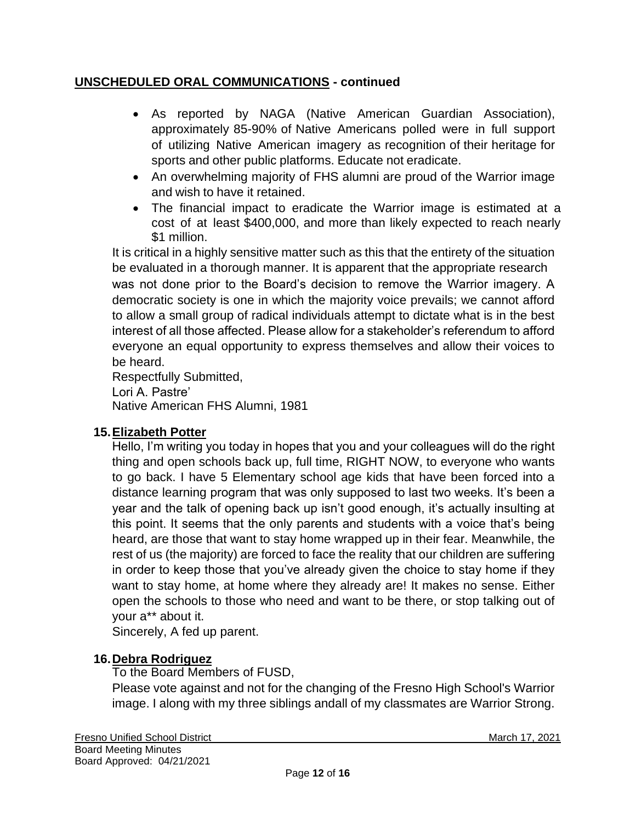- As reported by NAGA (Native American Guardian Association), approximately 85-90% of Native Americans polled were in full support of utilizing Native American imagery as recognition of their heritage for sports and other public platforms. Educate not eradicate.
- An overwhelming majority of FHS alumni are proud of the Warrior image and wish to have it retained.
- The financial impact to eradicate the Warrior image is estimated at a cost of at least \$400,000, and more than likely expected to reach nearly \$1 million.

It is critical in a highly sensitive matter such as this that the entirety of the situation be evaluated in a thorough manner. It is apparent that the appropriate research was not done prior to the Board's decision to remove the Warrior imagery. A democratic society is one in which the majority voice prevails; we cannot afford to allow a small group of radical individuals attempt to dictate what is in the best interest of all those affected. Please allow for a stakeholder's referendum to afford everyone an equal opportunity to express themselves and allow their voices to be heard.

Respectfully Submitted, Lori A. Pastre' Native American FHS Alumni, 1981

# **15.Elizabeth Potter**

Hello, I'm writing you today in hopes that you and your colleagues will do the right thing and open schools back up, full time, RIGHT NOW, to everyone who wants to go back. I have 5 Elementary school age kids that have been forced into a distance learning program that was only supposed to last two weeks. It's been a year and the talk of opening back up isn't good enough, it's actually insulting at this point. It seems that the only parents and students with a voice that's being heard, are those that want to stay home wrapped up in their fear. Meanwhile, the rest of us (the majority) are forced to face the reality that our children are suffering in order to keep those that you've already given the choice to stay home if they want to stay home, at home where they already are! It makes no sense. Either open the schools to those who need and want to be there, or stop talking out of your a\*\* about it.

Sincerely, A fed up parent.

# **16.Debra Rodriguez**

To the Board Members of FUSD,

Please vote against and not for the changing of the Fresno High School's Warrior image. I along with my three siblings andall of my classmates are Warrior Strong.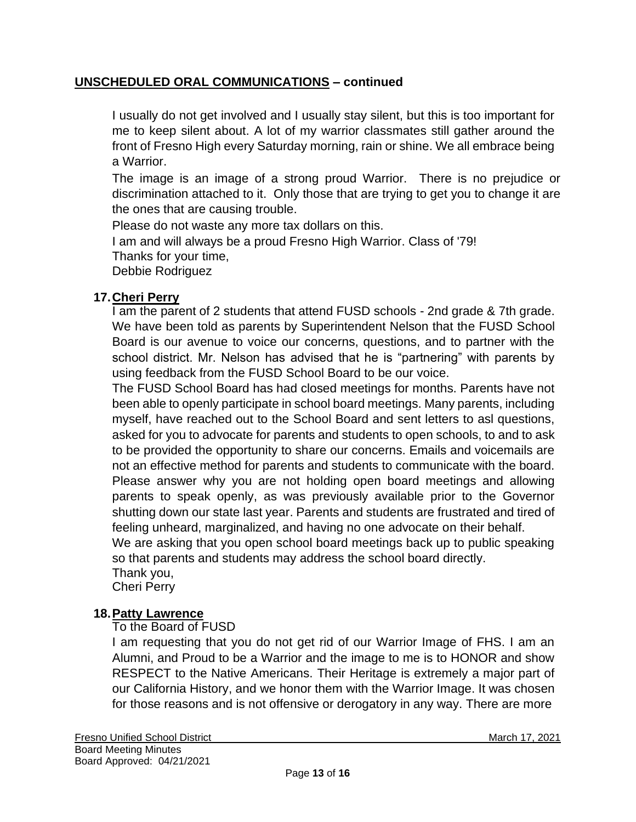I usually do not get involved and I usually stay silent, but this is too important for me to keep silent about. A lot of my warrior classmates still gather around the front of Fresno High every Saturday morning, rain or shine. We all embrace being a Warrior.

The image is an image of a strong proud Warrior. There is no prejudice or discrimination attached to it. Only those that are trying to get you to change it are the ones that are causing trouble.

Please do not waste any more tax dollars on this. I am and will always be a proud Fresno High Warrior. Class of '79! Thanks for your time, Debbie Rodriguez

# **17.Cheri Perry**

I am the parent of 2 students that attend FUSD schools - 2nd grade & 7th grade. We have been told as parents by Superintendent Nelson that the FUSD School Board is our avenue to voice our concerns, questions, and to partner with the school district. Mr. Nelson has advised that he is "partnering" with parents by using feedback from the FUSD School Board to be our voice.

The FUSD School Board has had closed meetings for months. Parents have not been able to openly participate in school board meetings. Many parents, including myself, have reached out to the School Board and sent letters to asl questions, asked for you to advocate for parents and students to open schools, to and to ask to be provided the opportunity to share our concerns. Emails and voicemails are not an effective method for parents and students to communicate with the board. Please answer why you are not holding open board meetings and allowing parents to speak openly, as was previously available prior to the Governor shutting down our state last year. Parents and students are frustrated and tired of feeling unheard, marginalized, and having no one advocate on their behalf.

We are asking that you open school board meetings back up to public speaking so that parents and students may address the school board directly.

Thank you,

Cheri Perry

# **18.Patty Lawrence**

To the Board of FUSD

I am requesting that you do not get rid of our Warrior Image of FHS. I am an Alumni, and Proud to be a Warrior and the image to me is to HONOR and show RESPECT to the Native Americans. Their Heritage is extremely a major part of our California History, and we honor them with the Warrior Image. It was chosen for those reasons and is not offensive or derogatory in any way. There are more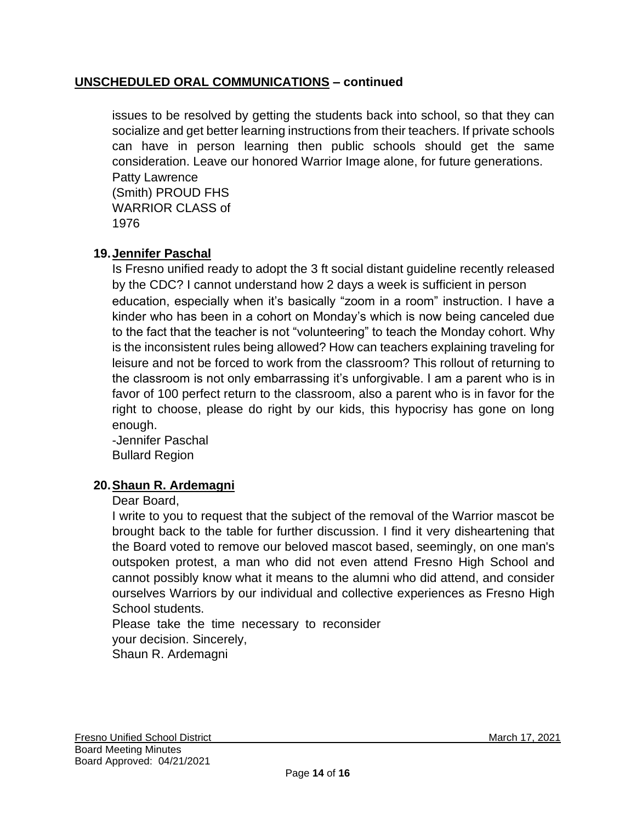issues to be resolved by getting the students back into school, so that they can socialize and get better learning instructions from their teachers. If private schools can have in person learning then public schools should get the same consideration. Leave our honored Warrior Image alone, for future generations. Patty Lawrence (Smith) PROUD FHS WARRIOR CLASS of 1976

# **19.Jennifer Paschal**

Is Fresno unified ready to adopt the 3 ft social distant guideline recently released by the CDC? I cannot understand how 2 days a week is sufficient in person education, especially when it's basically "zoom in a room" instruction. I have a kinder who has been in a cohort on Monday's which is now being canceled due to the fact that the teacher is not "volunteering" to teach the Monday cohort. Why is the inconsistent rules being allowed? How can teachers explaining traveling for leisure and not be forced to work from the classroom? This rollout of returning to the classroom is not only embarrassing it's unforgivable. I am a parent who is in favor of 100 perfect return to the classroom, also a parent who is in favor for the right to choose, please do right by our kids, this hypocrisy has gone on long enough.

-Jennifer Paschal Bullard Region

# **20.Shaun R. Ardemagni**

#### Dear Board,

I write to you to request that the subject of the removal of the Warrior mascot be brought back to the table for further discussion. I find it very disheartening that the Board voted to remove our beloved mascot based, seemingly, on one man's outspoken protest, a man who did not even attend Fresno High School and cannot possibly know what it means to the alumni who did attend, and consider ourselves Warriors by our individual and collective experiences as Fresno High School students.

Please take the time necessary to reconsider your decision. Sincerely, Shaun R. Ardemagni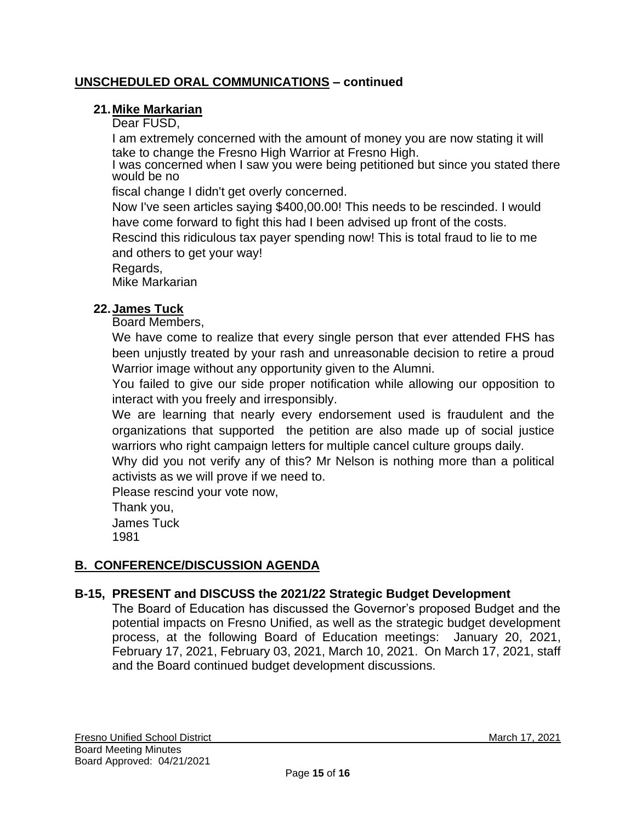# **21.Mike Markarian**

Dear FUSD,

I am extremely concerned with the amount of money you are now stating it will take to change the Fresno High Warrior at Fresno High.

I was concerned when I saw you were being petitioned but since you stated there would be no

fiscal change I didn't get overly concerned.

Now I've seen articles saying \$400,00.00! This needs to be rescinded. I would have come forward to fight this had I been advised up front of the costs.

Rescind this ridiculous tax payer spending now! This is total fraud to lie to me and others to get your way!

Regards,

Mike Markarian

# **22.James Tuck**

Board Members,

We have come to realize that every single person that ever attended FHS has been unjustly treated by your rash and unreasonable decision to retire a proud Warrior image without any opportunity given to the Alumni.

You failed to give our side proper notification while allowing our opposition to interact with you freely and irresponsibly.

We are learning that nearly every endorsement used is fraudulent and the organizations that supported the petition are also made up of social justice warriors who right campaign letters for multiple cancel culture groups daily.

Why did you not verify any of this? Mr Nelson is nothing more than a political activists as we will prove if we need to.

Please rescind your vote now,

Thank you, James Tuck 1981

# **B. CONFERENCE/DISCUSSION AGENDA**

# **B-15, PRESENT and DISCUSS the 2021/22 Strategic Budget Development**

The Board of Education has discussed the Governor's proposed Budget and the potential impacts on Fresno Unified, as well as the strategic budget development process, at the following Board of Education meetings: January 20, 2021, February 17, 2021, February 03, 2021, March 10, 2021. On March 17, 2021, staff and the Board continued budget development discussions.